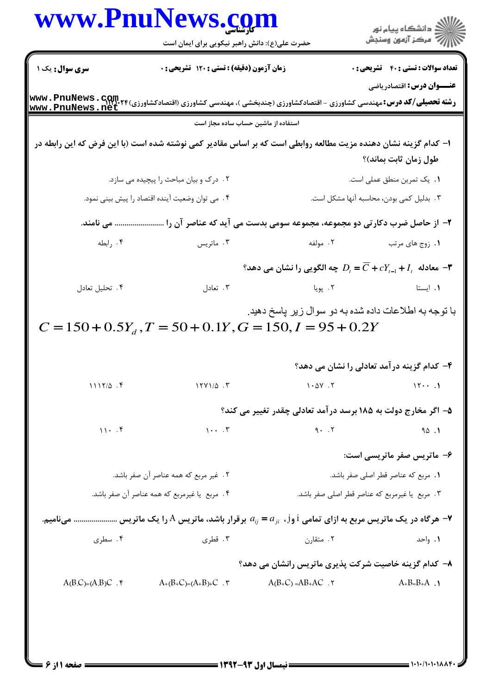|                                       | حضرت علی(ع): دانش راهبر نیکویی برای ایمان است                                                                                                                        | <b>www.PnuNews.co</b>                                                             | ≦ دانشڪاه پيام نور<br>7 مرڪز آزمون وسنڊش     |
|---------------------------------------|----------------------------------------------------------------------------------------------------------------------------------------------------------------------|-----------------------------------------------------------------------------------|----------------------------------------------|
| سری سوال: یک ۱                        | <b>زمان آزمون (دقیقه) : تستی : 120 تشریحی : 0</b>                                                                                                                    |                                                                                   | <b>تعداد سوالات : تستی : 40 ٪ تشریحی : 0</b> |
| <u> www.PnuNews.net</u>               | <b>رشته تحصیلی/کد درس:</b> مهندسی کشاورزی - اقتصادکشاورزی (چندبخشی )، مهندسی کشاورزی (اقتصادکشاورزی)۲۴ <mark>+۳۳۷ . PnuNews</mark><br>- ---- FraceMaced ----- ------ |                                                                                   | <b>عنـــوان درس:</b> اقتصادریاضی             |
|                                       | استفاده از ماشین حساب ساده مجاز است                                                                                                                                  |                                                                                   |                                              |
|                                       | ا– کدام گزینه نشان دهنده مزیت مطالعه روابطی است که بر اساس مقادیر کمی نوشته شده است (با این فرض که این رابطه در                                                      |                                                                                   | طول زمان ثابت بماند)؟                        |
|                                       | ٢. درک و بيان مباحث را پيچيده مي سازد.                                                                                                                               |                                                                                   | ٠١. يک تمرين منطق عملي است.                  |
|                                       | ۰۴ می توان وضعیت آینده اقتصاد را پیش بینی نمود.                                                                                                                      |                                                                                   | ۰۳ بدلیل کمی بودن، محاسبه آنها مشکل است.     |
|                                       | ۲- از حاصل ضرب دکارتی دو مجموعه، مجموعه سومی بدست می آید که عناصر آن را  می نامند.                                                                                   |                                                                                   |                                              |
| ۰۴ رابطه                              | ۰۳ ماتریس                                                                                                                                                            | ۰۲ مولفه                                                                          | ٠١ زوج هاي مرتب                              |
|                                       |                                                                                                                                                                      | معادله $I_{_{t-1}}+I_{_{t-1}}+\overline{C}$ جه الگویی را نشان می دهد $\mathbb{P}$ |                                              |
| ۰۴ تحليل تعادل                        | ۰۳ تعادل                                                                                                                                                             | ۰۲ پویا                                                                           | ۰۱ ایستا                                     |
|                                       | $C = 150 + 0.5Y_d$ , $T = 50 + 0.1Y$ , $G = 150$ , $I = 95 + 0.2Y$                                                                                                   |                                                                                   | ۴– کدام گزینه در آمد تعادلی را نشان می دهد؟  |
| $1117/\Delta$ .                       | $17Y1/\Delta$ .                                                                                                                                                      | $1 - \Delta Y$ . $Y$                                                              | 151                                          |
|                                       |                                                                                                                                                                      | ۵– اگر مخارج دولت به ۱۸۵ برسد درآمد تعادلی چقدر تغییر می کند؟                     |                                              |
| $11 - .9$                             | $1 \cdot \cdot \cdot$ $\cdot$ $\cdot$                                                                                                                                | 9.7                                                                               | 90.1                                         |
|                                       |                                                                                                                                                                      |                                                                                   | ۶- ماتریس صفر ماتریسی است:                   |
| ٢. غير مربع كه همه عناصر آن صفر باشد. |                                                                                                                                                                      | ٠١. مربع كه عناصر قطر اصلى صفر باشد.                                              |                                              |
|                                       | ۴. مربع یا غیرمربع که همه عناصر آن صفر باشد.                                                                                                                         | ٢. مربع يا غيرمربع كه عناصر قطر اصلى صفر باشد.                                    |                                              |
|                                       |                                                                                                                                                                      |                                                                                   |                                              |
|                                       | ۰۷ هرگاه در یک ماتریس مربع به ازای تمامی j وj ، $a_{ij} = a_{ji}$ برقرار باشد، ماتریس $\rm A$ را یک ماتریس  مینامیم.                                                 |                                                                                   |                                              |
| ۰۴ سطری                               | ۰۳ قطری                                                                                                                                                              | ۰۲ متقارن                                                                         | ۰۱ واحد                                      |
|                                       |                                                                                                                                                                      | ۸– کدام گزینه خاصیت شرکت پذیری ماتریس رانشان می دهد؟                              |                                              |

 $= 1.1.11.1.111$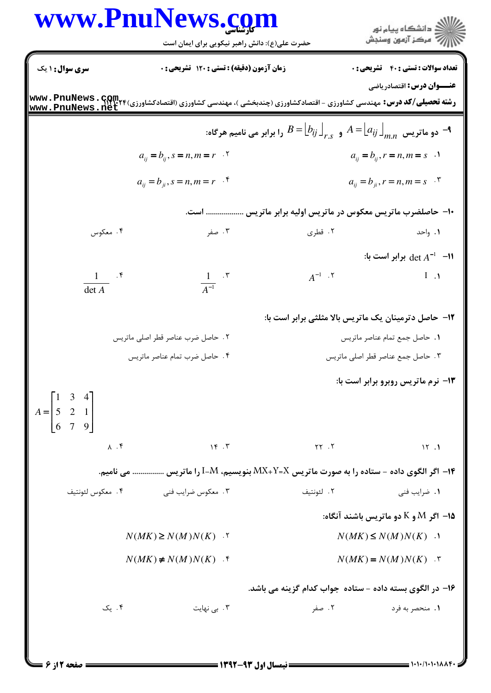|                                                                         | www.PnuNews.com<br>حضرت علی(ع): دانش راهبر نیکویی برای ایمان است                                                                                                               |                                                                                                       | ِ<br>∭ دانشڪاه پيام نور<br>∭ مرڪز آزمون وسنڊش      |
|-------------------------------------------------------------------------|--------------------------------------------------------------------------------------------------------------------------------------------------------------------------------|-------------------------------------------------------------------------------------------------------|----------------------------------------------------|
| سری سوال: ۱ یک                                                          | زمان آزمون (دقیقه) : تستی : ۱۲۰ تشریحی : ۰                                                                                                                                     |                                                                                                       | <b>تعداد سوالات : تستي : 40 - تشريحي : 0</b>       |
|                                                                         | <b>رشته تحصیلی/کد درس:</b> مهندسی کشاورزی - اقتصادکشاورزی (چندبخشی )، مهندسی کشاورزی (اقتصادکشاورزی)۲۴۰ <del>٬</del> ۱۳۴ <b>و www . PnuNews . net</b><br>  www . PnuNews . net |                                                                                                       | <b>عنـــوان درس:</b> اقتصادریاضی                   |
|                                                                         |                                                                                                                                                                                | دو ماتریس $A=\bigsqcup_{r,s}A=\bigsqcup_{r,s}A=\bigsqcup_{m.n}A$ و $A^{\pm}$ را برابر می نامیم هرگاه: |                                                    |
|                                                                         | $a_{ij} = b_{ij}, s = n, m = r$ .                                                                                                                                              |                                                                                                       | $a_{ij} = b_{ij}, r = n, m = s$ .                  |
|                                                                         | $a_{ij} = b_{ji}, s = n, m = r$ .                                                                                                                                              |                                                                                                       | $a_{ij} = b_{ji}$ , $r = n, m = s$ $\cdot$ $\cdot$ |
|                                                                         |                                                                                                                                                                                | ۱۰– حاصلضرب ماتریس معکوس در ماتریس اولیه برابر ماتریس  است.                                           |                                                    |
| ۰۴ معکوس                                                                | ۰۳ صفر                                                                                                                                                                         | ۰۲ قطری                                                                                               | ۰۱ واحد                                            |
|                                                                         |                                                                                                                                                                                |                                                                                                       | : ا- det $A^{-1}$ -11 برابر است با $det A^{-1}$    |
| $\frac{1}{\det A}$ . f                                                  | $\frac{1}{A^{-1}}$ . $\mathbf{r}$                                                                                                                                              | $A^{-1}$ . $\mathbf{Y}$                                                                               | $\mathbf{I}$ $\mathbf{I}$                          |
|                                                                         |                                                                                                                                                                                | <b>۱۲</b> - حاصل دترمینان یک ماتریس بالا مثلثی برابر است با:                                          |                                                    |
|                                                                         | ٢. حاصل ضرب عناصر قطر اصلى ماتريس                                                                                                                                              |                                                                                                       | 1. حاصل جمع تمام عناصر ماتريس                      |
|                                                                         | ۴. حاصل ضرب تمام عناصر ماتريس                                                                                                                                                  |                                                                                                       | ۰۳ حاصل جمع عناصر قطر اصلی ماتریس                  |
|                                                                         |                                                                                                                                                                                |                                                                                                       | ۱۳- نرم ماتریس روبرو برابر است با:                 |
| $A = \begin{bmatrix} 1 & 3 & 4 \\ 5 & 2 & 1 \\ 6 & 7 & 9 \end{bmatrix}$ |                                                                                                                                                                                |                                                                                                       |                                                    |
| $\Lambda$ . $\mathfrak{f}$                                              | 15.7                                                                                                                                                                           | YY.7                                                                                                  | 15.1                                               |
|                                                                         | ۱۴- اگر الگوی داده - ستاده را به صورت ماتریس MX+Y=X بنویسیم، I-M را ماتریس  می نامیم.                                                                                          |                                                                                                       |                                                    |
| ۴. معكوس لئونتيف                                                        | ۰۳ معکوس ضرایب فنی                                                                                                                                                             | ٢. لئونتيف                                                                                            | ۰۱ ضرایب فنی                                       |
|                                                                         |                                                                                                                                                                                |                                                                                                       | 15- اگر $\rm M$ و $\rm K$ دو ماتریس باشند آنگاه:   |
|                                                                         | $N(MK) \ge N(M)N(K)$ .                                                                                                                                                         |                                                                                                       | $N(MK) \leq N(M)N(K)$ .                            |
|                                                                         | $N(MK) \neq N(M)N(K)$ .                                                                                                                                                        |                                                                                                       | $N(MK) = N(M)N(K)$ .                               |
|                                                                         |                                                                                                                                                                                | ۱۶– در الگوی بسته داده - ستاده جواب کدام گزینه می باشد.                                               |                                                    |
| ۰۴ یک                                                                   | ۰۳ بی نهایت                                                                                                                                                                    | ۰۲ صفر                                                                                                | ۰۱ منحصر به فرد                                    |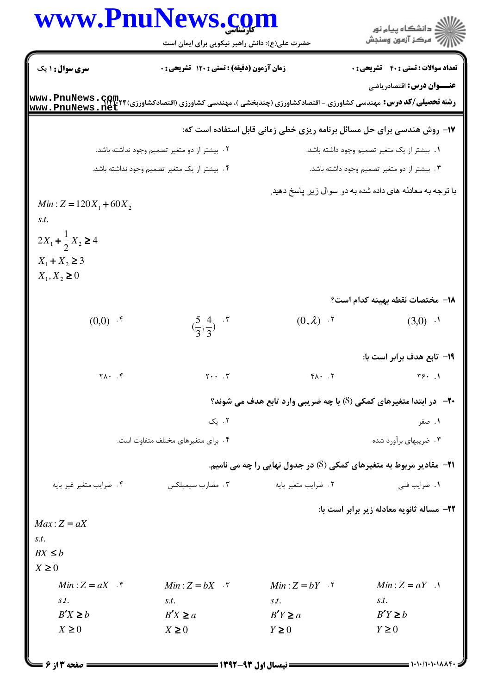|                                      | www.PnuNews.com<br>حضرت علی(ع): دانش راهبر نیکویی برای ایمان است |                                                                             | ِ<br>∭ دانشڪاه پيام نور<br>∭ مرڪز آزمون وسنڊش            |
|--------------------------------------|------------------------------------------------------------------|-----------------------------------------------------------------------------|----------------------------------------------------------|
| سری سوال : ۱ یک                      | زمان آزمون (دقیقه) : تستی : ۱۲۰ تشریحی : ۰                       |                                                                             | <b>تعداد سوالات : تستی : 40 - تشریحی : 0</b>             |
|                                      |                                                                  |                                                                             | <b>عنـــوان درس:</b> اقتصادریاضی                         |
|                                      |                                                                  | ۱۷- روش هندسی برای حل مسائل برنامه ریزی خطی زمانی قابل استفاده است که:      |                                                          |
|                                      | ۲ . بیشتر از دو متغیر تصمیم وجود نداشته باشد.                    |                                                                             | ٠. بيشتر از يک متغير تصميم وجود داشته باشد.              |
|                                      | ۴. بيشتر از يک متغير تصميم وجود نداشته باشد.                     |                                                                             | ۰۳ بیشتر از دو متغیر تصمیم وجود داشته باشد.              |
|                                      |                                                                  |                                                                             | با توجه به معادله های داده شده به دو سوال زیر پاسخ دهید. |
| $Min: Z = 120X_1 + 60X_2$            |                                                                  |                                                                             |                                                          |
| S.t.                                 |                                                                  |                                                                             |                                                          |
| $2X_1 + \frac{1}{2}X_2 \ge 4$        |                                                                  |                                                                             |                                                          |
| $X_1 + X_2 \ge 3$                    |                                                                  |                                                                             |                                                          |
| $X_1, X_2 \ge 0$                     |                                                                  |                                                                             |                                                          |
|                                      |                                                                  |                                                                             | 1 <b>۸</b> - مختصات نقطه بهينه كدام است؟                 |
| $(0,0)$ .*                           | $\left(\frac{5}{3}, \frac{4}{3}\right)$ . \"                     | $(0,\lambda)$ .                                                             | $(3,0)$ $\cdot$ <sup>1</sup>                             |
|                                      |                                                                  |                                                                             | 1۹- تابع هدف برابر است با:                               |
| $\uparrow \wedge \cdot$ . $\uparrow$ | $\mathbf{y} \cdot \mathbf{y} \cdot \mathbf{y}$                   | $Y \cdot \cdot \cdot Y$                                                     | $\mathbf{r} \mathbf{s} \cdot \mathbf{v}$                 |
|                                      |                                                                  |                                                                             |                                                          |
|                                      |                                                                  | <b>۲۰</b> - در ابتدا متغیرهای کمکی (S) با چه ضریبی وارد تابع هدف می شوند؟   |                                                          |
|                                      | ۰۲ یک                                                            |                                                                             | ۰۱ صفر                                                   |
|                                      | ۰۴ برای متغیرهای مختلف متفاوت است.                               |                                                                             | ۰۳ ضریبهای برآورد شده                                    |
|                                      |                                                                  | <b>۲۱</b> - مقادیر مربوط به متغیرهای کمکی (S) در جدول نهایی را چه می نامیم. |                                                          |
| ۰۴ ضرایب متغیر غیر پایه              | ۰۳ مضارب سیمپلکس                                                 | ٠٢ ضرايب متغير پايه                                                         | ٠١. ضرايب فني                                            |
|                                      |                                                                  |                                                                             | ٢٢- مساله ثانويه معادله زير برابر است با:                |
| $Max:Z = aX$                         |                                                                  |                                                                             |                                                          |
| S.t.                                 |                                                                  |                                                                             |                                                          |
| $BX \leq b$<br>$X \geq 0$            |                                                                  |                                                                             |                                                          |
| $Min:Z = aX$                         | $Min:Z = bX$ .                                                   | $Min:Z = bY$                                                                | $Min: Z = aY$ .                                          |
| S.t.                                 | S.t.                                                             | S.t.                                                                        | S.t.                                                     |
| $B'X \ge b$                          | $B'X \ge a$                                                      | $B'Y \ge a$                                                                 | $B'Y \ge b$                                              |
| $X \geq 0$                           | $X \geq 0$                                                       | $Y \geq 0$                                                                  | $Y \geq 0$                                               |
|                                      |                                                                  |                                                                             |                                                          |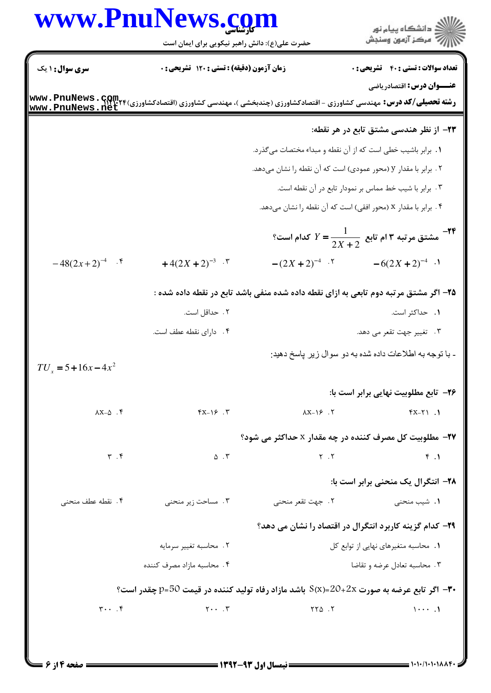|                               | www.PnuNews.com                                                                          |                                                                                      |                                                                |
|-------------------------------|------------------------------------------------------------------------------------------|--------------------------------------------------------------------------------------|----------------------------------------------------------------|
|                               | حضرت علی(ع): دانش راهبر نیکویی برای ایمان است                                            |                                                                                      | الا دانشگاه پيام نور<br>الا مرکز آزمون وسنجش                   |
| سری سوال: ۱ یک                | زمان آزمون (دقیقه) : تستی : ۱۲۰ تشریحی : ۰                                               |                                                                                      | <b>تعداد سوالات : تستی : 40 - تشریحی : 0</b>                   |
|                               |                                                                                          |                                                                                      | <b>عنـــوان درس:</b> اقتصادریاضی                               |
|                               |                                                                                          |                                                                                      | ۲۳– از نظر هندسی مشتق تابع در هر نقطه:                         |
|                               |                                                                                          | ١. برابر باشيب خطى است كه از آن نقطه و مبداء مختصات مى گذرد.                         |                                                                |
|                               |                                                                                          | ۰۲ برابر با مقدار y (محور عمودی) است که آن نقطه را نشان میدهد.                       |                                                                |
|                               |                                                                                          |                                                                                      | ۰۳ برابر با شیب خط مماس بر نمودار تابع در آن نقطه است.         |
|                               |                                                                                          | ۰۴ برابر با مقدار x (محور افقی) است که آن نقطه را نشان میدهد.                        |                                                                |
|                               |                                                                                          |                                                                                      | -۱۴ هشتق مرتبه ۳ ام تابع $\frac{1}{2(X+2)^2} = Y$ کدام است $Y$ |
| $-48(2x+2)^{-4}$ .            | $+4(2X+2)^{-3}$ .                                                                        | $-(2X+2)^{-4}$ .                                                                     | $-6(2X+2)^{-4}$ .                                              |
|                               |                                                                                          | ۲۵– اگر مشتق مرتبه دوم تابعی به ازای نقطه داده شده منفی باشد تابع در نقطه داده شده : |                                                                |
|                               | ۲ . حداقل است.                                                                           |                                                                                      | ۰۱ حداکثر است.                                                 |
|                               | ۴. دارای نقطه عطف است.                                                                   |                                                                                      | ۰۳ تغییر جهت تقعر می دهد.                                      |
|                               |                                                                                          |                                                                                      | - با توجه به اطلاعات داده شده به دو سوال زير پاسخ دهيد:        |
| $TU_x = 5 + 16x - 4x^2$       |                                                                                          |                                                                                      |                                                                |
|                               |                                                                                          |                                                                                      | ۲۶- تابع مطلوبیت نهایی برابر است با:                           |
| $\lambda X - \Delta$ .        | $YX-\gamma$ . $Y$                                                                        | $\lambda X-\lambda \xi$ . Y                                                          | $Y - Y$ . 1                                                    |
|                               |                                                                                          | <b>۲۷- مطلوبیت کل مصرف کننده در چه مقدار x حداکثر می شود؟</b>                        |                                                                |
| $\mathbf{r}$ . $\mathbf{r}$   | $\Delta$ . $\Upsilon$                                                                    | $Y \cdot Y$                                                                          | F.1                                                            |
|                               |                                                                                          |                                                                                      | ۲۸- انتگرال یک منحنی برابر است با:                             |
| ۰۴ نقطه عطف منحنى             | ۰۳ مساحت زیر منحنی                                                                       | ۲. جهت تقعر منحنى                                                                    | <b>۱.</b> شیب منحنی                                            |
|                               |                                                                                          | ۲۹– کدام گزینه کاربرد انتگرال در اقتصاد را نشان می دهد؟                              |                                                                |
|                               | ٠٢ محاسبه تغيير سرمايه                                                                   |                                                                                      | ۰۱ محاسبه متغیرهای نهایی از توابع کل                           |
|                               | ۰۴ محاسبه مازاد مصرف کننده                                                               | ۰۳ محاسبه تعادل عرضه و تقاضا                                                         |                                                                |
|                               | و تابع عرضه به صورت 2X+20=(S(x) باشد مازاد رفاه تولید کننده در قیمت 20=(p=50 چقدر است؟ = |                                                                                      |                                                                |
| $\mathbf{y} \cdot \mathbf{y}$ | $\mathbf{Y} \cdot \cdot \mathbf{Y}$                                                      | $\begin{bmatrix} 5 & 0 \\ 0 & 1 \end{bmatrix}$                                       |                                                                |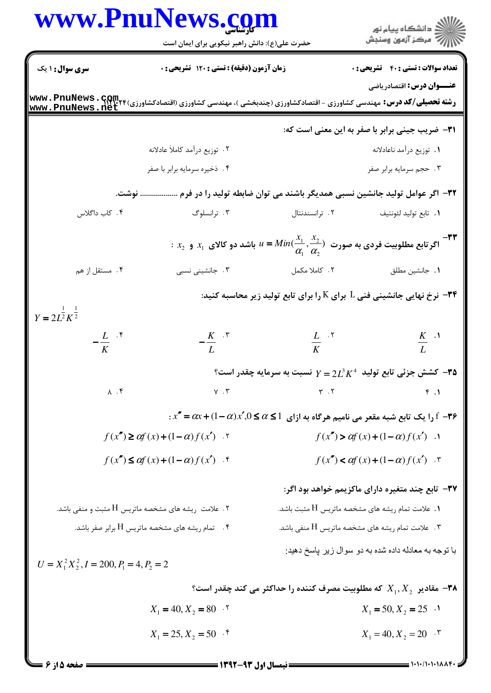|                                                                                                                                                                    | www.PnuNews. <u>co</u> m<br>حضرت علی(ع): دانش راهبر نیکویی برای ایمان است         |                                            | ر<br>استگاه پيام نور<br>استر آزمون وسنڊش                                                                                             |
|--------------------------------------------------------------------------------------------------------------------------------------------------------------------|-----------------------------------------------------------------------------------|--------------------------------------------|--------------------------------------------------------------------------------------------------------------------------------------|
| <b>سری سوال : ۱ یک</b>                                                                                                                                             | زمان آزمون (دقیقه) : تستی : ۱۲۰ تشریحی : ۰                                        |                                            | <b>تعداد سوالات : تستی : 40 - تشریحی : 0</b>                                                                                         |
| www.PnuNews.net                                                                                                                                                    |                                                                                   |                                            | <b>عنـــوان درس:</b> اقتصادریاضی                                                                                                     |
|                                                                                                                                                                    |                                                                                   |                                            | <b>٣١</b> - ضريب جيني برابر با صفر به اين معنى است كه:                                                                               |
|                                                                                                                                                                    | ٢. توزيع درآمد كاملأ عادلانه                                                      |                                            | 1. توزيع درآمد ناعادلانه                                                                                                             |
|                                                                                                                                                                    | ۰۴ ذخيره سرمايه برابر با صفر                                                      |                                            | ۰۳ حجم سرمايه برابر صفر                                                                                                              |
|                                                                                                                                                                    | ۳۲– اگر عوامل تولید جانشین نسبی همدیگر باشند می توان ضابطه تولید را در فرم  نوشت. |                                            |                                                                                                                                      |
| ۰۴ کاب داگلاس                                                                                                                                                      | ۰۳ ترانسلوگ                                                                       | ۰۲ ترانسندنتال                             | ٠١. تابع توليد لئونتيف                                                                                                               |
|                                                                                                                                                                    |                                                                                   |                                            | $x_1 \cdot x_2$ اگر تابع مطلوبیت فردی به صورت $\displaystyle \frac{x_1}{\alpha_1}, \frac{x_2}{\alpha_2}$ باشد دو کالای $x_1$ و $x_2$ |
| ۰۴ مستقل از هم                                                                                                                                                     | ۰۳ جانشینی نسبی                                                                   | ٠٢ كاملا مكمل                              | ٠١. جانشين مطلق                                                                                                                      |
| $Y = 2L^{\frac{1}{2}}K^{\frac{1}{2}}$                                                                                                                              |                                                                                   |                                            | ۰۳۴ نرخ نهایی جانشینی فنی ${\rm L}$ برای ${\rm K}$ را برای تابع تولید زیر محاسبه کنید: $-$ ۳۴                                        |
| $-\frac{L}{K}$ $\cdot$ $\frac{1}{K}$                                                                                                                               | $-\frac{K}{L}$ $\cdot$ $\cdot$                                                    | $\frac{L}{K}$ . $\frac{K}{K}$              | $\frac{K}{L}$ .                                                                                                                      |
|                                                                                                                                                                    |                                                                                   |                                            | ° کشش جزئی تابع تولید $Z^4$ $Z^3$ = $Y$ نسبت به سرمایه چقدر است $\bullet$                                                            |
|                                                                                                                                                                    | $\lambda \cdot \mathfrak{f}$ $\gamma \cdot \mathfrak{r}$                          | $\mathbf{r}$ . $\mathbf{r}$                | $F \cdot 1$                                                                                                                          |
|                                                                                                                                                                    |                                                                                   |                                            | $x'' = \alpha x + (1 - \alpha)x', 0 \le \alpha \le 1$ را یک تابع شبه مقعر می نامیم هرگاه به ازای $\alpha \le 1$                      |
| $f(x'') \geq \alpha f(x) + (1-\alpha)f(x')$ .                                                                                                                      |                                                                                   | $f(x'') > \alpha f(x) + (1-\alpha)f(x')$ . |                                                                                                                                      |
| $f(x'') \leq \alpha f(x) + (1-\alpha)f(x')$ .                                                                                                                      |                                                                                   |                                            | $f(x'') < \alpha f(x) + (1-\alpha)f(x')$ .                                                                                           |
|                                                                                                                                                                    |                                                                                   |                                            | ۳۷- تابع چند متغیره دارای ماکزیمم خواهد بود اگر:                                                                                     |
|                                                                                                                                                                    |                                                                                   |                                            | ۰۱ علامت تمام ریشه های مشخصه ماتریس H مثبت باشد.                                                                                     |
| ۲ . علامت <sub>ر</sub> یشه های مشخصه ماتریس H مثبت و منفی باشد.<br>۰۴ تمام ریشه های مشخصه ماتریس H برابر صفر باشد.<br>$U = X_1^2 X_2^2, I = 200, P_1 = 4, P_2 = 2$ |                                                                                   |                                            | ۰۳ ملامت تمام ریشه های مشخصه ماتریس H منفی باشد.                                                                                     |
|                                                                                                                                                                    |                                                                                   |                                            | با توجه به معادله داده شده به دو سوال زیر پاسخ دهید:                                                                                 |
|                                                                                                                                                                    |                                                                                   |                                            | ° هقادیر $X_1,X_2$ که مطلوبیت مصرف کننده را حداکثر می کند چقدر است $\bullet$                                                         |
|                                                                                                                                                                    | $X_1 = 40, X_2 = 80$ .                                                            |                                            | $X_1 = 50, X_2 = 25$                                                                                                                 |
|                                                                                                                                                                    | $X_1 = 25, X_2 = 50$ .                                                            |                                            | $X_1 = 40, X_2 = 20$ .                                                                                                               |

**= نیمسال اول ۹۳-۱۳۹۲ ـــــــ** 

**= صفحه 5 از 6 =** 

 $=$   $\sum_{i=1}^{n}$